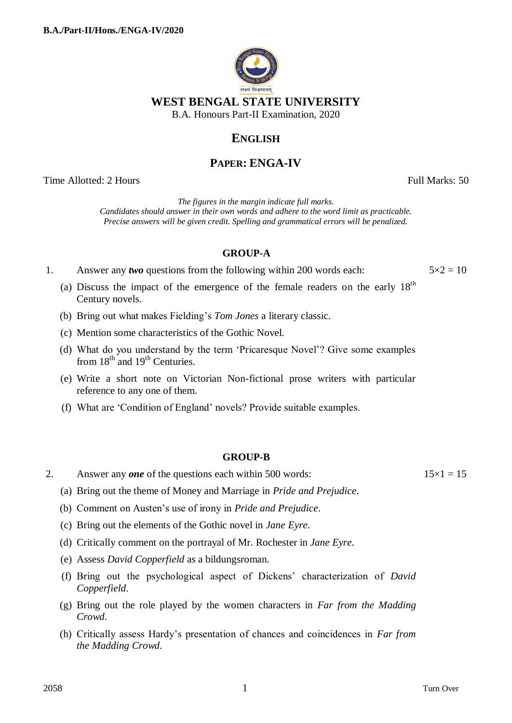

## **ENGLISH**

# **PAPER: ENGA-IV**

Time Allotted: 2 Hours Full Marks: 50

*The figures in the margin indicate full marks. Candidates should answer in their own words and adhere to the word limit as practicable. Precise answers will be given credit. Spelling and grammatical errors will be penalized.*

### **GROUP-A**

1. Answer any *two* questions from the following within 200 words each:  $5 \times 2 = 10$ 

- (a) Discuss the impact of the emergence of the female readers on the early  $18<sup>th</sup>$ Century novels.
- (b) Bring out what makes Fielding's *Tom Jones* a literary classic.
- (c) Mention some characteristics of the Gothic Novel.
- (d) What do you understand by the term 'Pricaresque Novel'? Give some examples from  $18<sup>th</sup>$  and  $19<sup>th</sup>$  Centuries.
- (e) Write a short note on Victorian Non-fictional prose writers with particular reference to any one of them.
- (f) What are 'Condition of England' novels? Provide suitable examples.

### **GROUP-B**

- 2. Answer any *one* of the questions each within 500 words:  $15 \times 1 = 15$ 
	- (a) Bring out the theme of Money and Marriage in *Pride and Prejudice*.
	- (b) Comment on Austen's use of irony in *Pride and Prejudice*.
	- (c) Bring out the elements of the Gothic novel in *Jane Eyre*.
	- (d) Critically comment on the portrayal of Mr. Rochester in *Jane Eyre*.
	- (e) Assess *David Copperfield* as a bildungsroman.
	- (f) Bring out the psychological aspect of Dickens' characterization of *David Copperfield*.
	- (g) Bring out the role played by the women characters in *Far from the Madding Crowd*.
	- (h) Critically assess Hardy's presentation of chances and coincidences in *Far from the Madding Crowd*.